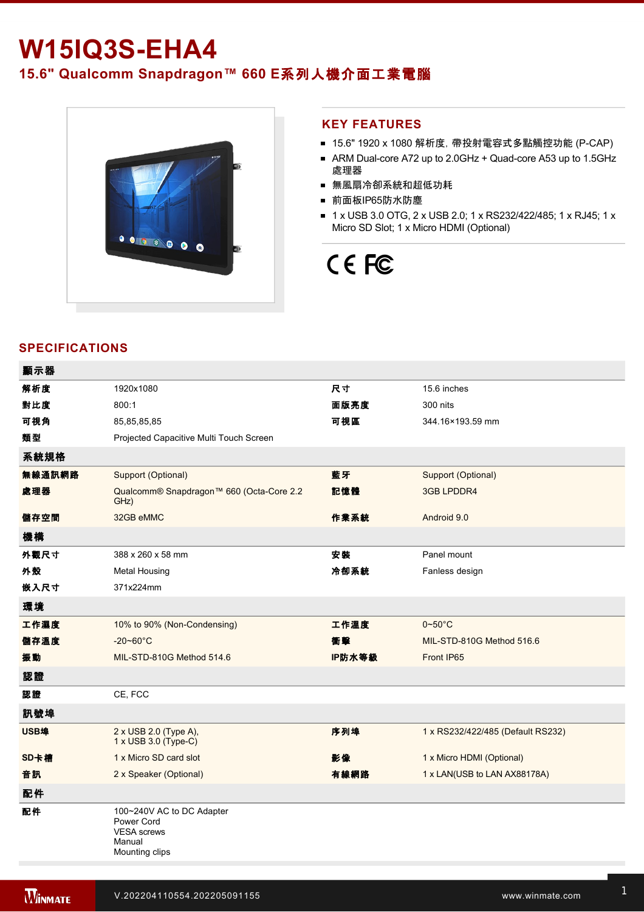# **W15IQ3S-EHA4 15.6" Qualcomm Snapdragon™ 660 E**系列人機介面工業電腦



#### **KEY FEATURES**

- 15.6" 1920 x 1080 解析度, 帶投射電容式多點觸控功能 (P-CAP)
- ARM Dual-core A72 up to 2.0GHz + Quad-core A53 up to 1.5GHz 處理器
- 無風扇冷卻系統和超低功耗
- 前面板IP65防水防塵
- 1 x USB 3.0 OTG, 2 x USB 2.0; 1 x RS232/422/485; 1 x RJ45; 1 x Micro SD Slot; 1 x Micro HDMI (Optional)

# CE FC

### **SPECIFICATIONS**

| 顯示器    |                                                                                           |        |                                                                 |
|--------|-------------------------------------------------------------------------------------------|--------|-----------------------------------------------------------------|
| 解析度    | 1920x1080                                                                                 | 尺寸     | 15.6 inches                                                     |
| 對比度    | 800:1                                                                                     | 面版亮度   | 300 nits                                                        |
| 可視角    | 85,85,85,85                                                                               | 可視區    | 344.16×193.59 mm                                                |
| 類型     | Projected Capacitive Multi Touch Screen                                                   |        |                                                                 |
| 系統規格   |                                                                                           |        |                                                                 |
| 無線通訊網路 | Support (Optional)                                                                        | 藍牙     | Support (Optional)                                              |
| 處理器    | Qualcomm® Snapdragon™ 660 (Octa-Core 2.2<br>GHz)                                          | 記憶體    | 3GB LPDDR4                                                      |
| 儲存空間   | 32GB eMMC                                                                                 | 作業系統   | Android 9.0                                                     |
| 機構     |                                                                                           |        |                                                                 |
| 外觀尺寸   | 388 x 260 x 58 mm                                                                         | 安装     | Panel mount                                                     |
| 外殼     | <b>Metal Housing</b>                                                                      | 冷卻系統   | Fanless design                                                  |
| 嵌入尺寸   | 371x224mm                                                                                 |        |                                                                 |
| 環境     |                                                                                           |        |                                                                 |
| 工作濕度   | 10% to 90% (Non-Condensing)                                                               | 工作溫度   | $0\negthinspace\negthinspace\negthinspace 50^{\circ}\mathrm{C}$ |
| 儲存溫度   | $-20 - 60^{\circ}$ C                                                                      | 衝擊     | MIL-STD-810G Method 516.6                                       |
| 振動     | MIL-STD-810G Method 514.6                                                                 | IP防水等級 | Front IP65                                                      |
| 認證     |                                                                                           |        |                                                                 |
| 認證     | CE, FCC                                                                                   |        |                                                                 |
| 訊號埠    |                                                                                           |        |                                                                 |
| USB埠   | 2 x USB 2.0 (Type A),<br>1 x USB 3.0 (Type-C)                                             | 序列埠    | 1 x RS232/422/485 (Default RS232)                               |
| SD卡槽   | 1 x Micro SD card slot                                                                    | 影像     | 1 x Micro HDMI (Optional)                                       |
| 音訊     | 2 x Speaker (Optional)                                                                    | 有線網路   | 1 x LAN(USB to LAN AX88178A)                                    |
| 配件     |                                                                                           |        |                                                                 |
| 配件     | 100~240V AC to DC Adapter<br>Power Cord<br><b>VESA</b> screws<br>Manual<br>Mounting clips |        |                                                                 |

9~36V (Optional)